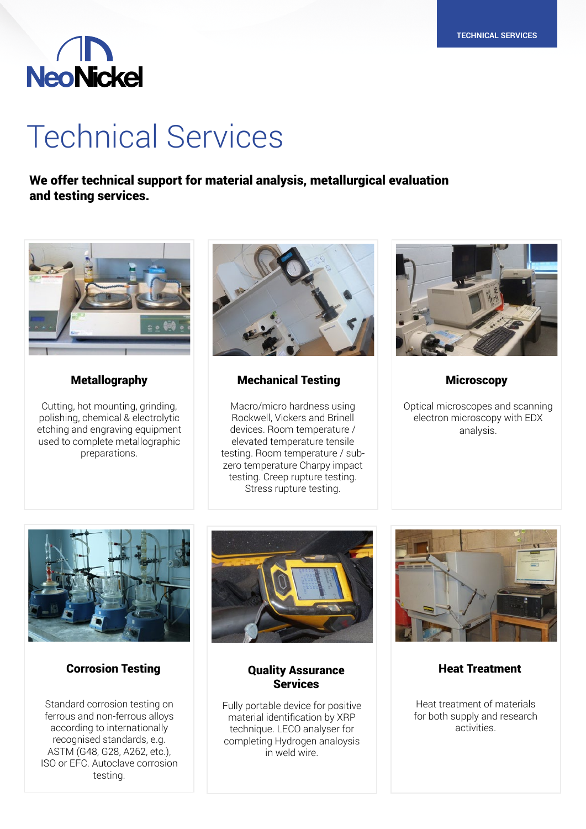# **NeoNickel**

## Technical Services

We offer technical support for material analysis, metallurgical evaluation and testing services.



Cutting, hot mounting, grinding, polishing, chemical & electrolytic etching and engraving equipment used to complete metallographic preparations.



### Metallography Mechanical Testing Microscopy

Macro/micro hardness using Rockwell, Vickers and Brinell devices. Room temperature / elevated temperature tensile testing. Room temperature / subzero temperature Charpy impact testing. Creep rupture testing. Stress rupture testing.



Optical microscopes and scanning electron microscopy with EDX analysis.



### Corrosion Testing **Corrosion Testing Construction**

Standard corrosion testing on ferrous and non-ferrous alloys according to internationally recognised standards, e.g. ASTM (G48, G28, A262, etc.), ISO or EFC. Autoclave corrosion testing.



### **Services**

Fully portable device for positive material identification by XRP technique. LECO analyser for completing Hydrogen analoysis in weld wire.



Heat Treatment

Heat treatment of materials for both supply and research activities.